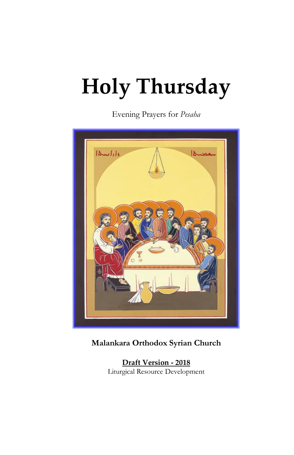# **Holy Thursday**

Evening Prayers for *Pesaha*



# **Malankara Orthodox Syrian Church**

**Draft Version - 2018** Liturgical Resource Development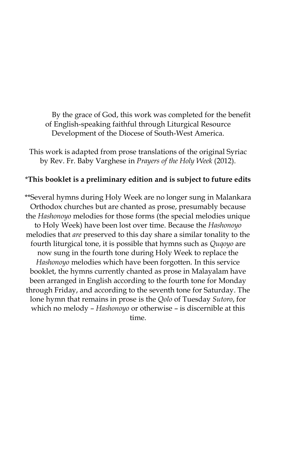By the grace of God, this work was completed for the benefit of English-speaking faithful through Liturgical Resource Development of the Diocese of South-West America.

This work is adapted from prose translations of the original Syriac by Rev. Fr. Baby Varghese in *Prayers of the Holy Week* (2012).

#### \***This booklet is a preliminary edition and is subject to future edits**

\*\*Several hymns during Holy Week are no longer sung in Malankara Orthodox churches but are chanted as prose, presumably because the *Hashonoyo* melodies for those forms (the special melodies unique to Holy Week) have been lost over time. Because the *Hashonoyo* melodies that *are* preserved to this day share a similar tonality to the fourth liturgical tone, it is possible that hymns such as *Quqoyo* are now sung in the fourth tone during Holy Week to replace the *Hashonoyo* melodies which have been forgotten. In this service booklet, the hymns currently chanted as prose in Malayalam have been arranged in English according to the fourth tone for Monday through Friday, and according to the seventh tone for Saturday. The lone hymn that remains in prose is the *Qolo* of Tuesday *Sutoro*, for which no melody – *Hashonoyo* or otherwise – is discernible at this time.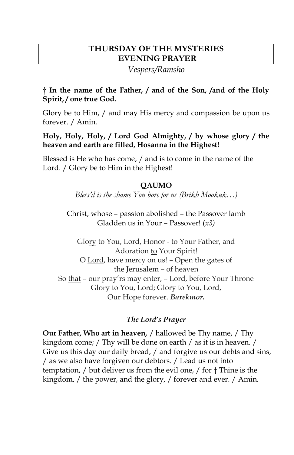# **THURSDAY OF THE MYSTERIES EVENING PRAYER**

*Vespers/Ramsho*

## **† In the name of the Father, / and of the Son, /and of the Holy Spirit, / one true God.**

Glory be to Him, / and may His mercy and compassion be upon us forever. / Amin*.*

## **Holy, Holy, Holy, / Lord God Almighty, / by whose glory / the heaven and earth are filled, Hosanna in the Highest!**

Blessed is He who has come, / and is to come in the name of the Lord. / Glory be to Him in the Highest!

## **QAUMO**

*Bless'd is the shame You bore for us (Brikh Mookuk…)*

Christ, whose – passion abolished – the Passover lamb Gladden us in Your – Passover! (*x3)*

Glory to You, Lord, Honor - to Your Father, and Adoration to Your Spirit! O Lord, have mercy on us! – Open the gates of the Jerusalem – of heaven So that – our pray'rs may enter, – Lord, before Your Throne Glory to You, Lord; Glory to You, Lord, Our Hope forever. *Barekmor.*

# *The Lord's Prayer*

**Our Father, Who art in heaven,** / hallowed be Thy name, / Thy kingdom come; / Thy will be done on earth / as it is in heaven. / Give us this day our daily bread, / and forgive us our debts and sins, / as we also have forgiven our debtors. / Lead us not into temptation, / but deliver us from the evil one, / for † Thine is the kingdom, / the power, and the glory, / forever and ever. / Amin.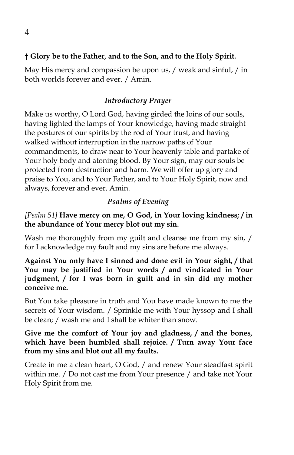## **† Glory be to the Father, and to the Son, and to the Holy Spirit.**

May His mercy and compassion be upon us, / weak and sinful, / in both worlds forever and ever. / Amin.

## *Introductory Prayer*

Make us worthy, O Lord God, having girded the loins of our souls, having lighted the lamps of Your knowledge, having made straight the postures of our spirits by the rod of Your trust, and having walked without interruption in the narrow paths of Your commandments, to draw near to Your heavenly table and partake of Your holy body and atoning blood. By Your sign, may our souls be protected from destruction and harm. We will offer up glory and praise to You, and to Your Father, and to Your Holy Spirit, now and always, forever and ever. Amin.

## *Psalms of Evening*

*[Psalm 51]* **Have mercy on me, O God, in Your loving kindness; / in the abundance of Your mercy blot out my sin.**

Wash me thoroughly from my guilt and cleanse me from my sin, / for I acknowledge my fault and my sins are before me always.

**Against You only have I sinned and done evil in Your sight, / that You may be justified in Your words / and vindicated in Your judgment, / for I was born in guilt and in sin did my mother conceive me.**

But You take pleasure in truth and You have made known to me the secrets of Your wisdom. / Sprinkle me with Your hyssop and I shall be clean; / wash me and I shall be whiter than snow.

## **Give me the comfort of Your joy and gladness, / and the bones, which have been humbled shall rejoice. / Turn away Your face from my sins and blot out all my faults.**

Create in me a clean heart, O God, / and renew Your steadfast spirit within me. / Do not cast me from Your presence / and take not Your Holy Spirit from me.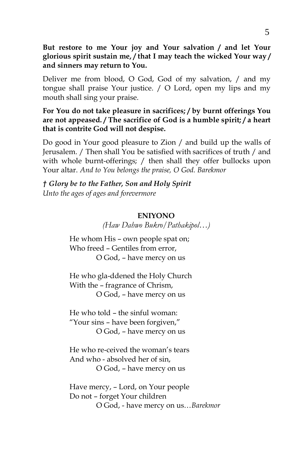**But restore to me Your joy and Your salvation / and let Your glorious spirit sustain me, / that I may teach the wicked Your way / and sinners may return to You.**

Deliver me from blood, O God, God of my salvation, / and my tongue shall praise Your justice. / O Lord, open my lips and my mouth shall sing your praise.

#### **For You do not take pleasure in sacrifices; / by burnt offerings You are not appeased. / The sacrifice of God is a humble spirit; / a heart that is contrite God will not despise.**

Do good in Your good pleasure to Zion / and build up the walls of Jerusalem. / Then shall You be satisfied with sacrifices of truth / and with whole burnt-offerings; / then shall they offer bullocks upon Your altar. *And to You belongs the praise, O God. Barekmor*

*† Glory be to the Father, Son and Holy Spirit Unto the ages of ages and forevermore*

#### **ENIYONO**

*(Haw Dahwo Bukro/Pathakipol…)*

He whom His – own people spat on; Who freed – Gentiles from error, O God, – have mercy on us

He who gla-ddened the Holy Church With the – fragrance of Chrism, O God, – have mercy on us

He who told – the sinful woman: "Your sins – have been forgiven," O God, – have mercy on us

He who re-ceived the woman's tears And who - absolved her of sin, O God, – have mercy on us

Have mercy, – Lord, on Your people Do not – forget Your children O God, - have mercy on us…*Barekmor*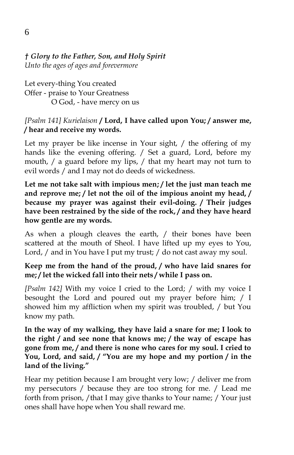#### *† Glory to the Father, Son, and Holy Spirit Unto the ages of ages and forevermore*

Let every-thing You created Offer - praise to Your Greatness O God, - have mercy on us

#### *[Psalm 141] Kurielaison* **/ Lord, I have called upon You; / answer me, / hear and receive my words.**

Let my prayer be like incense in Your sight, / the offering of my hands like the evening offering. / Set a guard, Lord, before my mouth, / a guard before my lips, / that my heart may not turn to evil words / and I may not do deeds of wickedness.

**Let me not take salt with impious men; / let the just man teach me and reprove me; / let not the oil of the impious anoint my head, / because my prayer was against their evil-doing. / Their judges have been restrained by the side of the rock, / and they have heard how gentle are my words.**

As when a plough cleaves the earth, / their bones have been scattered at the mouth of Sheol. I have lifted up my eyes to You, Lord, / and in You have I put my trust; / do not cast away my soul.

## **Keep me from the hand of the proud, / who have laid snares for me; / let the wicked fall into their nets / while I pass on.**

*[Psalm 142]* With my voice I cried to the Lord; / with my voice I besought the Lord and poured out my prayer before him; / I showed him my affliction when my spirit was troubled, / but You know my path.

**In the way of my walking, they have laid a snare for me; I look to the right / and see none that knows me; / the way of escape has gone from me, / and there is none who cares for my soul. I cried to You, Lord, and said, / "You are my hope and my portion / in the land of the living."**

Hear my petition because I am brought very low; / deliver me from my persecutors / because they are too strong for me. / Lead me forth from prison, /that I may give thanks to Your name; / Your just ones shall have hope when You shall reward me.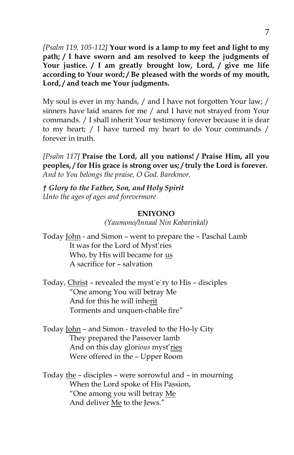*[Psalm 119, 105-112]* **Your word is a lamp to my feet and light to my path; / I have sworn and am resolved to keep the judgments of Your justice. / I am greatly brought low, Lord, / give me life according to Your word; / Be pleased with the words of my mouth, Lord, / and teach me Your judgments.**

My soul is ever in my hands, / and I have not forgotten Your law; / sinners have laid snares for me / and I have not strayed from Your commands. / I shall inherit Your testimony forever because it is dear to my heart; / I have turned my heart to do Your commands / forever in truth.

*[Psalm 117]* **Praise the Lord, all you nations! / Praise Him, all you peoples, / for His grace is strong over us; / truly the Lord is forever.** *And to You belongs the praise, O God. Barekmor.*

*† Glory to the Father, Son, and Holy Spirit Unto the ages of ages and forevermore*

#### **ENIYONO**

*(Yaumono/Innaal Nin Kabarinkal)*

Today *John* - and Simon - went to prepare the - Paschal Lamb It was for the Lord of Myst'ries Who, by His will became for us A sacrifice for – salvation

Today, Christ – revealed the myst`e`ry to His – disciples "One among You will betray Me And for this he will inherit Torments and unquen-chable fire"

Today John – and Simon - traveled to the Ho-ly City They prepared the Passover lamb And on this day glor*ious* myst'ries Were offered in the – Upper Room

Today the – disciples – were sorrowful and – in mourning When the Lord spoke of His Passion, "One among you will betray Me And deliver Me to the Jews."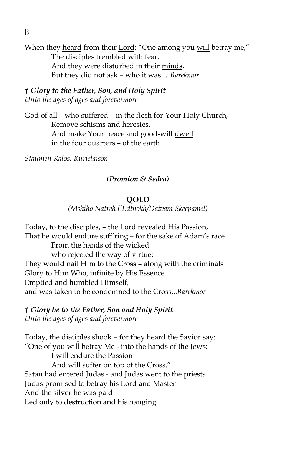When they heard from their Lord: "One among you will betray me," The disciples trembled with fear, And they were disturbed in their minds, But they did not ask – who it was …*Barekmor* 

*† Glory to the Father, Son, and Holy Spirit Unto the ages of ages and forevermore*

God of all – who suffered – in the flesh for Your Holy Church, Remove schisms and heresies, And make Your peace and good-will dwell in the four quarters – of the earth

*Staumen Kalos, Kurielaison*

#### *(Promion & Sedro)*

#### **QOLO**

*(Mshiho Natreh l'Edthokh/Daivam Skeepamel)*

Today, to the disciples, – the Lord revealed His Passion, That he would endure suff'ring – for the sake of Adam's race From the hands of the wicked who rejected the way of virtue; They would nail Him to the Cross – along with the criminals Glory to Him Who, infinite by His Essence Emptied and humbled Himself, and was taken to be condemned to the Cross...*Barekmor*

*† Glory be to the Father, Son and Holy Spirit Unto the ages of ages and forevermore*

Today, the disciples shook – for they heard the Savior say: "One of you will betray Me - into the hands of the Jews; I will endure the Passion And will suffer on top of the Cross." Satan had entered Judas - and Judas went to the priests Judas promised to betray his Lord and Master And the silver he was paid Led only to destruction and his hanging

8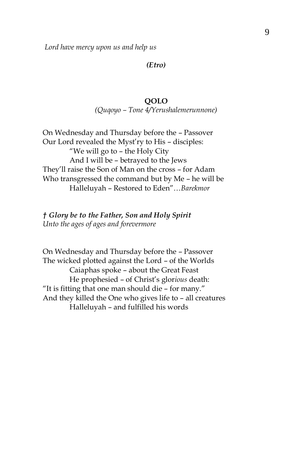*Lord have mercy upon us and help us*

*(Etro)*

#### **QOLO** *(Quqoyo – Tone 4/Yerushalemerunnone)*

On Wednesday and Thursday before the – Passover Our Lord revealed the Myst'ry to His – disciples: "We will go to – the Holy City And I will be – betrayed to the Jews They'll raise the Son of Man on the cross – for Adam Who transgressed the command but by Me – he will be Halleluyah – Restored to Eden"…*Barekmor*

*† Glory be to the Father, Son and Holy Spirit Unto the ages of ages and forevermore*

On Wednesday and Thursday before the – Passover The wicked plotted against the Lord – of the Worlds Caiaphas spoke – about the Great Feast He prophesied – of Christ's glor*ious* death: "It is fitting that one man should die – for many." And they killed the One who gives life to – all creatures Halleluyah – and fulfilled his words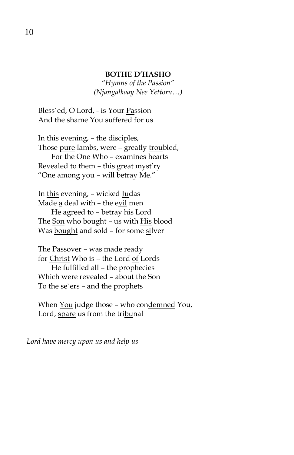#### **BOTHE D'HASHO**

*"Hymns of the Passion" (Njangalkaay Nee Yettoru…)*

Bless`ed, O Lord, - is Your Passion And the shame You suffered for us

In this evening, – the disciples, Those pure lambs, were - greatly troubled, For the One Who – examines hearts Revealed to them – this great myst'ry "One among you - will betray Me."

In this evening, – wicked Judas Made a deal with – the evil men He agreed to – betray his Lord The Son who bought – us with His blood Was bought and sold - for some silver

The Passover – was made ready for Christ Who is – the Lord of Lords He fulfilled all – the prophecies Which were revealed – about the Son To the se`ers – and the prophets

When You judge those - who condemned You, Lord, spare us from the tribunal

*Lord have mercy upon us and help us*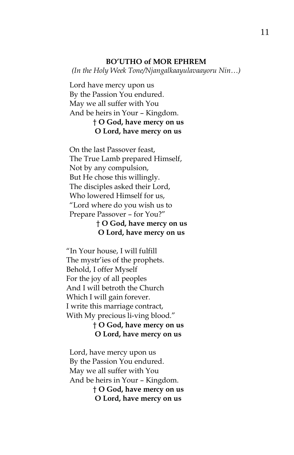#### **BO'UTHO of MOR EPHREM**

*(In the Holy Week Tone/Njangalkaayulavaayoru Nin…)*

Lord have mercy upon us By the Passion You endured. May we all suffer with You And be heirs in Your – Kingdom. † **O God, have mercy on us O Lord, have mercy on us**

On the last Passover feast, The True Lamb prepared Himself, Not by any compulsion, But He chose this willingly. The disciples asked their Lord, Who lowered Himself for us, "Lord where do you wish us to Prepare Passover – for You?"

† **O God, have mercy on us O Lord, have mercy on us**

"In Your house, I will fulfill The mystr'ies of the prophets. Behold, I offer Myself For the joy of all peoples And I will betroth the Church Which I will gain forever. I write this marriage contract, With My precious li-ving blood." † **O God, have mercy on us O Lord, have mercy on us**

Lord, have mercy upon us By the Passion You endured. May we all suffer with You And be heirs in Your – Kingdom.

> † **O God, have mercy on us O Lord, have mercy on us**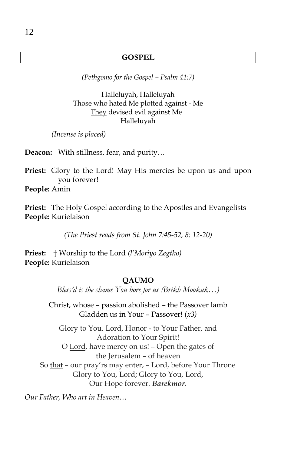#### **GOSPEL**

*(Pethgomo for the Gospel – Psalm 41:7)*

Halleluyah, Halleluyah Those who hated Me plotted against - Me They devised evil against Me\_ Halleluyah

*(Incense is placed)*

**Deacon:** With stillness, fear, and purity…

**Priest:** Glory to the Lord! May His mercies be upon us and upon you forever! **People:** Amin

**Priest:** The Holy Gospel according to the Apostles and Evangelists **People:** Kurielaison

*(The Priest reads from St. John 7:45-52, 8: 12-20)*

**Priest:** † Worship to the Lord *(l'Moriyo Zegtho)* **People:** Kurielaison

#### **QAUMO**

*Bless'd is the shame You bore for us (Brikh Mookuk…)*

Christ, whose – passion abolished – the Passover lamb Gladden us in Your – Passover! (*x3)*

Glory to You, Lord, Honor - to Your Father, and Adoration to Your Spirit! O Lord, have mercy on us! – Open the gates of the Jerusalem – of heaven So that – our pray'rs may enter, – Lord, before Your Throne Glory to You, Lord; Glory to You, Lord, Our Hope forever. *Barekmor.*

*Our Father, Who art in Heaven…*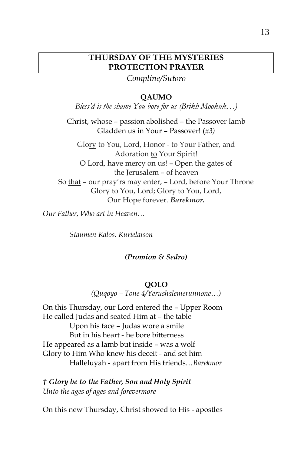## **THURSDAY OF THE MYSTERIES PROTECTION PRAYER**

*Compline/Sutoro*

#### **QAUMO**

*Bless'd is the shame You bore for us (Brikh Mookuk…)*

Christ, whose – passion abolished – the Passover lamb Gladden us in Your – Passover! (*x3)*

Glory to You, Lord, Honor - to Your Father, and Adoration to Your Spirit! O Lord, have mercy on us! – Open the gates of the Jerusalem – of heaven So that – our pray'rs may enter, – Lord, before Your Throne Glory to You, Lord; Glory to You, Lord, Our Hope forever. *Barekmor.*

*Our Father, Who art in Heaven…*

*Staumen Kalos. Kurielaison*

#### *(Promion & Sedro)*

#### **QOLO**

*(Quqoyo – Tone 4/Yerushalemerunnone…)*

On this Thursday, our Lord entered the – Upper Room He called Judas and seated Him at – the table Upon his face – Judas wore a smile But in his heart - he bore bitterness He appeared as a lamb but inside – was a wolf Glory to Him Who knew his deceit - and set him Halleluyah - apart from His friends…*Barekmor*

*† Glory be to the Father, Son and Holy Spirit Unto the ages of ages and forevermore*

On this new Thursday, Christ showed to His - apostles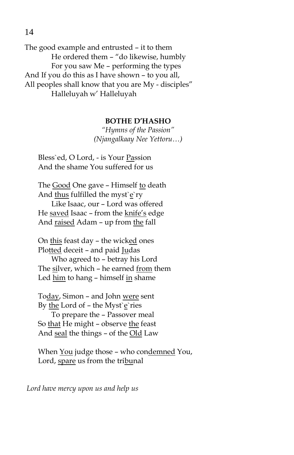The good example and entrusted – it to them He ordered them – "do likewise, humbly For you saw Me – performing the types And If you do this as I have shown – to you all, All peoples shall know that you are My - disciples" Halleluyah w' Halleluyah

#### **BOTHE D'HASHO**

*"Hymns of the Passion" (Njangalkaay Nee Yettoru…)*

Bless`ed, O Lord, - is Your Passion And the shame You suffered for us

The Good One gave – Himself to death And thus fulfilled the myst`e`ry Like Isaac, our – Lord was offered He saved Isaac – from the knife's edge And raised Adam – up from the fall

On this feast day – the wicked ones Plotted deceit – and paid Judas Who agreed to – betray his Lord The silver, which – he earned from them Led him to hang – himself in shame

Today, Simon – and John were sent By the Lord of – the Myst`e`ries To prepare the – Passover meal So that He might – observe the feast And seal the things – of the Old Law

When You judge those – who condemned You, Lord, spare us from the tribunal

*Lord have mercy upon us and help us*

14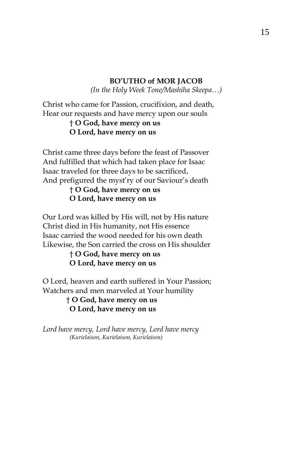## **BO'UTHO of MOR JACOB** *(In the Holy Week Tone/Mashiha Skeepa…)*

Christ who came for Passion, crucifixion, and death, Hear our requests and have mercy upon our souls

## † **O God, have mercy on us O Lord, have mercy on us**

Christ came three days before the feast of Passover And fulfilled that which had taken place for Isaac Isaac traveled for three days to be sacrificed, And prefigured the myst'ry of our Saviour's death

# † **O God, have mercy on us O Lord, have mercy on us**

Our Lord was killed by His will, not by His nature Christ died in His humanity, not His essence Isaac carried the wood needed for his own death Likewise, the Son carried the cross on His shoulder

## † **O God, have mercy on us O Lord, have mercy on us**

O Lord, heaven and earth suffered in Your Passion; Watchers and men marveled at Your humility

# † **O God, have mercy on us O Lord, have mercy on us**

*Lord have mercy, Lord have mercy, Lord have mercy (Kurielaison, Kurielaison, Kurielaison)*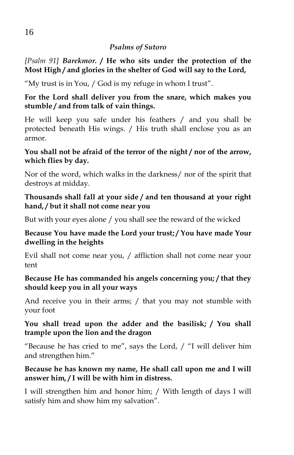## *Psalms of Sutoro*

*[Psalm 91] Barekmor.* **/ He who sits under the protection of the Most High / and glories in the shelter of God will say to the Lord,**

"My trust is in You, / God is my refuge in whom I trust".

**For the Lord shall deliver you from the snare, which makes you stumble / and from talk of vain things.**

He will keep you safe under his feathers / and you shall be protected beneath His wings. / His truth shall enclose you as an armor.

## **You shall not be afraid of the terror of the night / nor of the arrow, which flies by day.**

Nor of the word, which walks in the darkness/ nor of the spirit that destroys at midday.

## **Thousands shall fall at your side / and ten thousand at your right hand, / but it shall not come near you**

But with your eyes alone / you shall see the reward of the wicked

# **Because You have made the Lord your trust; / You have made Your dwelling in the heights**

Evil shall not come near you, / affliction shall not come near your tent

## **Because He has commanded his angels concerning you; / that they should keep you in all your ways**

And receive you in their arms; / that you may not stumble with your foot

# **You shall tread upon the adder and the basilisk; / You shall trample upon the lion and the dragon**

"Because he has cried to me", says the Lord, / "I will deliver him and strengthen him."

# **Because he has known my name, He shall call upon me and I will answer him, / I will be with him in distress.**

I will strengthen him and honor him; / With length of days I will satisfy him and show him my salvation".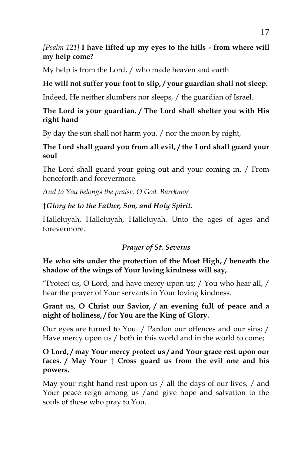# *[Psalm 121]* **I have lifted up my eyes to the hills - from where will my help come?**

My help is from the Lord, / who made heaven and earth

# **He will not suffer your foot to slip, / your guardian shall not sleep.**

Indeed, He neither slumbers nor sleeps, / the guardian of Israel.

# **The Lord is your guardian. / The Lord shall shelter you with His right hand**

By day the sun shall not harm you, / nor the moon by night,

# **The Lord shall guard you from all evil, / the Lord shall guard your soul**

The Lord shall guard your going out and your coming in. / From henceforth and forevermore.

*And to You belongs the praise, O God. Barekmor*

# †*Glory be to the Father, Son, and Holy Spirit.*

Halleluyah, Halleluyah, Halleluyah. Unto the ages of ages and forevermore.

# *Prayer of St. Severus*

# **He who sits under the protection of the Most High, / beneath the shadow of the wings of Your loving kindness will say,**

"Protect us, O Lord, and have mercy upon us; / You who hear all, / hear the prayer of Your servants in Your loving kindness.

## **Grant us, O Christ our Savior, / an evening full of peace and a night of holiness, / for You are the King of Glory.**

Our eyes are turned to You. / Pardon our offences and our sins; / Have mercy upon us / both in this world and in the world to come;

## **O Lord, / may Your mercy protect us / and Your grace rest upon our faces. / May Your** † **Cross guard us from the evil one and his powers.**

May your right hand rest upon us / all the days of our lives, / and Your peace reign among us /and give hope and salvation to the souls of those who pray to You.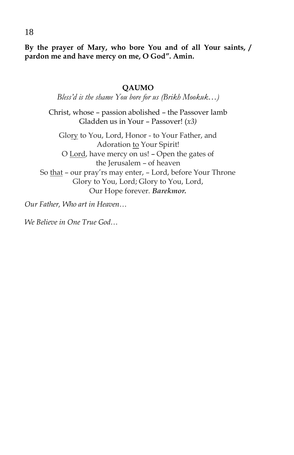**By the prayer of Mary, who bore You and of all Your saints, / pardon me and have mercy on me, O God". Amin.**

#### **QAUMO**

*Bless'd is the shame You bore for us (Brikh Mookuk…)*

Christ, whose – passion abolished – the Passover lamb Gladden us in Your – Passover! (*x3)*

Glory to You, Lord, Honor - to Your Father, and Adoration to Your Spirit! O Lord, have mercy on us! – Open the gates of the Jerusalem – of heaven So that – our pray'rs may enter, – Lord, before Your Throne Glory to You, Lord; Glory to You, Lord, Our Hope forever. *Barekmor.*

*Our Father, Who art in Heaven…*

*We Believe in One True God…*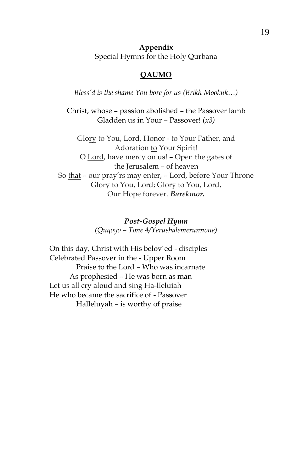**Appendix** Special Hymns for the Holy Qurbana

#### **QAUMO**

*Bless'd is the shame You bore for us (Brikh Mookuk…)*

Christ, whose – passion abolished – the Passover lamb Gladden us in Your – Passover! (*x3)*

Glory to You, Lord, Honor - to Your Father, and Adoration to Your Spirit! O Lord, have mercy on us! – Open the gates of the Jerusalem – of heaven So that – our pray'rs may enter, – Lord, before Your Throne Glory to You, Lord; Glory to You, Lord, Our Hope forever. *Barekmor.*

> *Post-Gospel Hymn (Quqoyo – Tone 4/Yerushalemerunnone)*

On this day, Christ with His belov`ed - disciples Celebrated Passover in the - Upper Room Praise to the Lord – Who was incarnate As prophesied – He was born as man Let us all cry aloud and sing Ha-lleluiah He who became the sacrifice of - Passover Halleluyah – is worthy of praise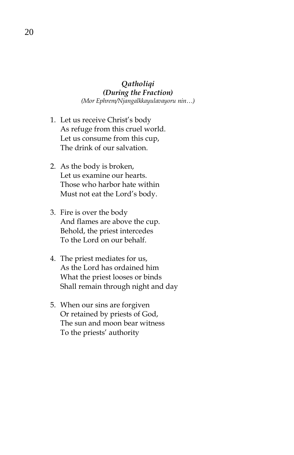#### *Qatholiqi (During the Fraction) (Mor Ephrem/Njangalkkayulavayoru nin…)*

- 1. Let us receive Christ's body As refuge from this cruel world. Let us consume from this cup, The drink of our salvation.
- 2. As the body is broken, Let us examine our hearts. Those who harbor hate within Must not eat the Lord's body.
- 3. Fire is over the body And flames are above the cup. Behold, the priest intercedes To the Lord on our behalf.
- 4. The priest mediates for us, As the Lord has ordained him What the priest looses or binds Shall remain through night and day
- 5. When our sins are forgiven Or retained by priests of God, The sun and moon bear witness To the priests' authority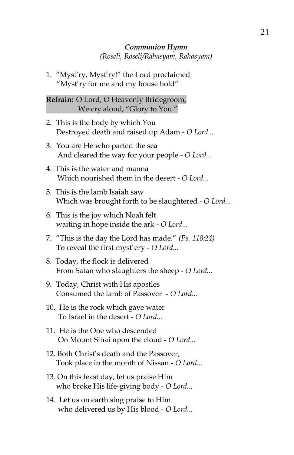#### *Communion Hymn (Roseli, Roseli/Rahasyam, Rahasyam)*

1. "Myst'ry, Myst'ry!" the Lord proclaimed "Myst'ry for me and my house hold"

**Refrain:** O Lord, O Heavenly Bridegroom, We cry aloud, "Glory to You."

- 2. This is the body by which You Destroyed death and raised up Adam - *O Lord...*
- 3. You are He who parted the sea And cleared the way for your people - *O Lord...*
- 4. This is the water and manna Which nourished them in the desert - *O Lord...*
- 5. This is the lamb Isaiah saw Which was brought forth to be slaughtered - *O Lord...*
- 6. This is the joy which Noah felt waiting in hope inside the ark - *O Lord...*
- 7. "This is the day the Lord has made." *(Ps. 118:24)* To reveal the first myst`ery - *O Lord...*
- 8. Today, the flock is delivered From Satan who slaughters the sheep - *O Lord...*
- 9. Today, Christ with His apostles Consumed the lamb of Passover - *O Lord...*
- 10. He is the rock which gave water To Israel in the desert - *O Lord...*
- 11. He is the One who descended On Mount Sinai upon the cloud - *O Lord...*
- 12. Both Christ's death and the Passover, Took place in the month of Nissan - *O Lord...*
- 13. On this feast day, let us praise Him who broke His life-giving body - *O Lord...*
- 14. Let us on earth sing praise to Him who delivered us by His blood - *O Lord...*